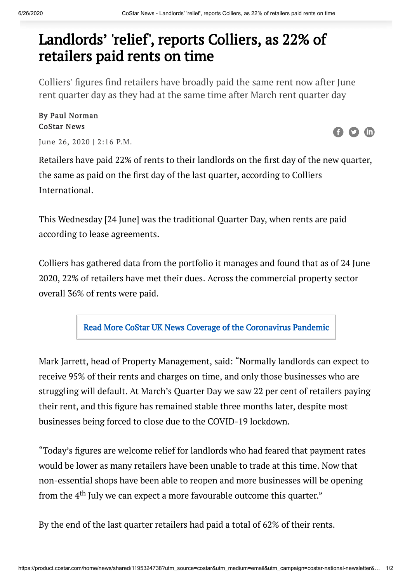## Landlords' 'relief', reports Colliers, as 22% of retailers paid rents on time

Colliers' figures find retailers have broadly paid the same rent now after June rent quarter day as they had at the same time after March rent quarter day

By Paul Norman CoStar News

June 26, 2020 | 2:16 P.M.

Retailers have paid 22% of rents to their landlords on the first day of the new quarter, the same as paid on the first day of the last quarter, according to Colliers International.

This Wednesday [24 June] was the traditional Quarter Day, when rents are paid according to lease agreements.

Colliers has gathered data from the portfolio it manages and found that as of 24 June 2020, 22% of retailers have met their dues. Across the commercial property sector overall 36% of rents were paid.

Read More CoStar UK News Coverage of the [Coronavirus](http://product.costar.com/home/news/shared/2072507587) Pandemic

Mark Jarrett, head of Property Management, said: "Normally landlords can expect to receive 95% of their rents and charges on time, and only those businesses who are struggling will default. At March's Quarter Day we saw 22 per cent of retailers paying their rent, and this figure has remained stable three months later, despite most businesses being forced to close due to the COVID-19 lockdown.

"Today's figures are welcome relief for landlords who had feared that payment rates would be lower as many retailers have been unable to trade at this time. Now that non-essential shops have been able to reopen and more businesses will be opening from the  $4^{\text{th}}$  July we can expect a more favourable outcome this quarter."

By the end of the last quarter retailers had paid a total of 62% of their rents.